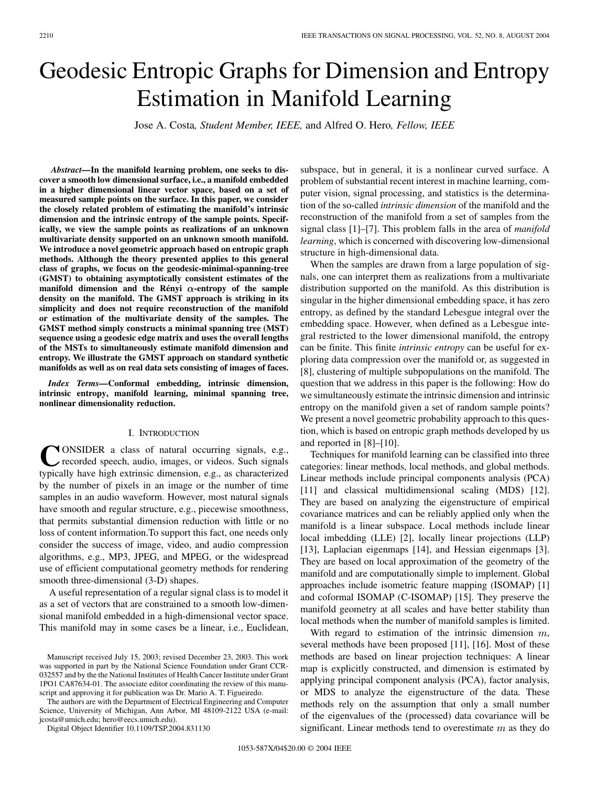# Geodesic Entropic Graphs for Dimension and Entropy Estimation in Manifold Learning

Jose A. Costa*, Student Member, IEEE,* and Alfred O. Hero*, Fellow, IEEE*

*Abstract—***In the manifold learning problem, one seeks to discover a smooth low dimensional surface, i.e., a manifold embedded in a higher dimensional linear vector space, based on a set of measured sample points on the surface. In this paper, we consider the closely related problem of estimating the manifold's intrinsic dimension and the intrinsic entropy of the sample points. Specifically, we view the sample points as realizations of an unknown multivariate density supported on an unknown smooth manifold. We introduce a novel geometric approach based on entropic graph methods. Although the theory presented applies to this general class of graphs, we focus on the geodesic-minimal-spanning-tree (GMST) to obtaining asymptotically consistent estimates of the** manifold dimension and the Rényi  $\alpha$ -entropy of the sample **density on the manifold. The GMST approach is striking in its simplicity and does not require reconstruction of the manifold or estimation of the multivariate density of the samples. The GMST method simply constructs a minimal spanning tree (MST) sequence using a geodesic edge matrix and uses the overall lengths of the MSTs to simultaneously estimate manifold dimension and entropy. We illustrate the GMST approach on standard synthetic manifolds as well as on real data sets consisting of images of faces.**

*Index Terms—***Conformal embedding, intrinsic dimension, intrinsic entropy, manifold learning, minimal spanning tree, nonlinear dimensionality reduction.**

## I. INTRODUCTION

CONSIDER a class of natural occurring signals, e.g.,<br>recorded speech, audio, images, or videos. Such signals typically have high extrinsic dimension, e.g., as characterized by the number of pixels in an image or the number of time samples in an audio waveform. However, most natural signals have smooth and regular structure, e.g., piecewise smoothness, that permits substantial dimension reduction with little or no loss of content information.To support this fact, one needs only consider the success of image, video, and audio compression algorithms, e.g., MP3, JPEG, and MPEG, or the widespread use of efficient computational geometry methods for rendering smooth three-dimensional (3-D) shapes.

A useful representation of a regular signal class is to model it as a set of vectors that are constrained to a smooth low-dimensional manifold embedded in a high-dimensional vector space. This manifold may in some cases be a linear, i.e., Euclidean,

The authors are with the Department of Electrical Engineering and Computer Science, University of Michigan, Ann Arbor, MI 48109-2122 USA (e-mail: jcosta@umich.edu; hero@eecs.umich.edu).

Digital Object Identifier 10.1109/TSP.2004.831130

subspace, but in general, it is a nonlinear curved surface. A problem of substantial recent interest in machine learning, computer vision, signal processing, and statistics is the determination of the so-called *intrinsic dimension* of the manifold and the reconstruction of the manifold from a set of samples from the signal class [[1\]](#page-10-0)–[[7](#page-10-0)]. This problem falls in the area of *manifold learning*, which is concerned with discovering low-dimensional structure in high-dimensional data.

When the samples are drawn from a large population of signals, one can interpret them as realizations from a multivariate distribution supported on the manifold. As this distribution is singular in the higher dimensional embedding space, it has zero entropy, as defined by the standard Lebesgue integral over the embedding space. However, when defined as a Lebesgue integral restricted to the lower dimensional manifold, the entropy can be finite. This finite *intrinsic entropy* can be useful for exploring data compression over the manifold or, as suggested in [[8\]](#page-10-0), clustering of multiple subpopulations on the manifold. The question that we address in this paper is the following: How do we simultaneously estimate the intrinsic dimension and intrinsic entropy on the manifold given a set of random sample points? We present a novel geometric probability approach to this question, which is based on entropic graph methods developed by us and reported in [[8\]](#page-10-0)–[\[10](#page-10-0)].

Techniques for manifold learning can be classified into three categories: linear methods, local methods, and global methods. Linear methods include principal components analysis (PCA) [[11\]](#page-10-0) and classical multidimensional scaling (MDS) [[12\]](#page-10-0). They are based on analyzing the eigenstructure of empirical covariance matrices and can be reliably applied only when the manifold is a linear subspace. Local methods include linear local imbedding (LLE) [\[2](#page-10-0)], locally linear projections (LLP) [[13\]](#page-10-0), Laplacian eigenmaps [\[14](#page-10-0)], and Hessian eigenmaps [[3\]](#page-10-0). They are based on local approximation of the geometry of the manifold and are computationally simple to implement. Global approaches include isometric feature mapping (ISOMAP) [\[1](#page-10-0)] and coformal ISOMAP (C-ISOMAP) [[15\]](#page-10-0). They preserve the manifold geometry at all scales and have better stability than local methods when the number of manifold samples is limited.

With regard to estimation of the intrinsic dimension  $m$ , several methods have been proposed [\[11\]](#page-10-0), [\[16](#page-10-0)]. Most of these methods are based on linear projection techniques: A linear map is explicitly constructed, and dimension is estimated by applying principal component analysis (PCA), factor analysis, or MDS to analyze the eigenstructure of the data. These methods rely on the assumption that only a small number of the eigenvalues of the (processed) data covariance will be significant. Linear methods tend to overestimate  $m$  as they do

Manuscript received July 15, 2003; revised December 23, 2003. This work was supported in part by the National Science Foundation under Grant CCR-032557 and by the the National Institutes of Health Cancer Institute under Grant 1PO1 CA87634-01. The associate editor coordinating the review of this manuscript and approving it for publication was Dr. Mario A. T. Figueiredo.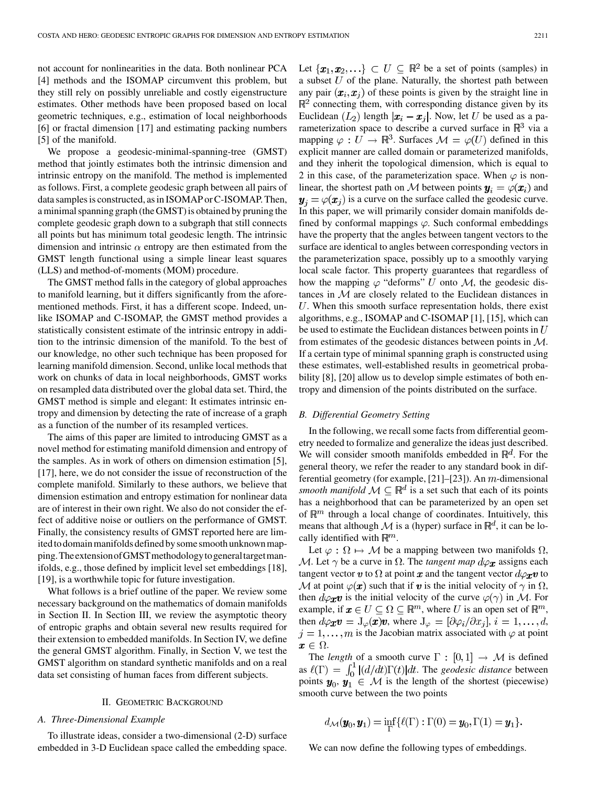not account for nonlinearities in the data. Both nonlinear PCA [\[4](#page-10-0)] methods and the ISOMAP circumvent this problem, but they still rely on possibly unreliable and costly eigenstructure estimates. Other methods have been proposed based on local geometric techniques, e.g., estimation of local neighborhoods [\[6](#page-10-0)] or fractal dimension [\[17](#page-10-0)] and estimating packing numbers [\[5](#page-10-0)] of the manifold.

We propose a geodesic-minimal-spanning-tree (GMST) method that jointly estimates both the intrinsic dimension and intrinsic entropy on the manifold. The method is implemented as follows. First, a complete geodesic graph between all pairs of data samples is constructed, as in ISOMAP or C-ISOMAP. Then, a minimal spanning graph (the GMST) is obtained by pruning the complete geodesic graph down to a subgraph that still connects all points but has minimum total geodesic length. The intrinsic dimension and intrinsic  $\alpha$  entropy are then estimated from the GMST length functional using a simple linear least squares (LLS) and method-of-moments (MOM) procedure.

The GMST method falls in the category of global approaches to manifold learning, but it differs significantly from the aforementioned methods. First, it has a different scope. Indeed, unlike ISOMAP and C-ISOMAP, the GMST method provides a statistically consistent estimate of the intrinsic entropy in addition to the intrinsic dimension of the manifold. To the best of our knowledge, no other such technique has been proposed for learning manifold dimension. Second, unlike local methods that work on chunks of data in local neighborhoods, GMST works on resampled data distributed over the global data set. Third, the GMST method is simple and elegant: It estimates intrinsic entropy and dimension by detecting the rate of increase of a graph as a function of the number of its resampled vertices.

The aims of this paper are limited to introducing GMST as a novel method for estimating manifold dimension and entropy of the samples. As in work of others on dimension estimation [\[5](#page-10-0)], [\[17](#page-10-0)], here, we do not consider the issue of reconstruction of the complete manifold. Similarly to these authors, we believe that dimension estimation and entropy estimation for nonlinear data are of interest in their own right. We also do not consider the effect of additive noise or outliers on the performance of GMST. Finally, the consistency results of GMST reported here are limited to domain manifolds defined by some smooth unknown mapping. The extension of GMST methodology to general target manifolds, e.g., those defined by implicit level set embeddings [\[18](#page-10-0)], [\[19](#page-10-0)], is a worthwhile topic for future investigation.

What follows is a brief outline of the paper. We review some necessary background on the mathematics of domain manifolds in Section II. In Section III, we review the asymptotic theory of entropic graphs and obtain several new results required for their extension to embedded manifolds. In Section IV, we define the general GMST algorithm. Finally, in Section V, we test the GMST algorithm on standard synthetic manifolds and on a real data set consisting of human faces from different subjects.

#### II. GEOMETRIC BACKGROUND

#### *A. Three-Dimensional Example*

To illustrate ideas, consider a two-dimensional (2-D) surface embedded in 3-D Euclidean space called the embedding space. Let  $\{\boldsymbol{x}_1, \boldsymbol{x}_2, \ldots\} \subset U \subseteq \mathbb{R}^2$  be a set of points (samples) in a subset  $U$  of the plane. Naturally, the shortest path between any pair  $(x_i, x_j)$  of these points is given by the straight line in  $\mathbb{R}^2$  connecting them, with corresponding distance given by its Euclidean  $(L_2)$  length  $|\mathbf{x}_i - \mathbf{x}_j|$ . Now, let U be used as a parameterization space to describe a curved surface in  $\mathbb{R}^3$  via a mapping  $\varphi : U \to \mathbb{R}^3$ . Surfaces  $\mathcal{M} = \varphi(U)$  defined in this explicit manner are called domain or parameterized manifolds, and they inherit the topological dimension, which is equal to 2 in this case, of the parameterization space. When  $\varphi$  is nonlinear, the shortest path on M between points  $y_i = \varphi(x_i)$  and  $y_i = \varphi(x_i)$  is a curve on the surface called the geodesic curve. In this paper, we will primarily consider domain manifolds defined by conformal mappings  $\varphi$ . Such conformal embeddings have the property that the angles between tangent vectors to the surface are identical to angles between corresponding vectors in the parameterization space, possibly up to a smoothly varying local scale factor. This property guarantees that regardless of how the mapping  $\varphi$  "deforms" U onto M, the geodesic distances in  $M$  are closely related to the Euclidean distances in  $U$ . When this smooth surface representation holds, there exist algorithms, e.g., ISOMAP and C-ISOMAP [\[1](#page-10-0)], [[15\]](#page-10-0), which can be used to estimate the Euclidean distances between points in  $U$ from estimates of the geodesic distances between points in  $M$ . If a certain type of minimal spanning graph is constructed using these estimates, well-established results in geometrical probability [[8\]](#page-10-0), [[20\]](#page-10-0) allow us to develop simple estimates of both entropy and dimension of the points distributed on the surface.

# *B. Differential Geometry Setting*

In the following, we recall some facts from differential geometry needed to formalize and generalize the ideas just described. We will consider smooth manifolds embedded in  $\mathbb{R}^d$ . For the general theory, we refer the reader to any standard book in differential geometry (for example,  $[21]$  $[21]$ – $[23]$  $[23]$ ). An  $m$ -dimensional *smooth manifold*  $M \subseteq \mathbb{R}^d$  is a set such that each of its points has a neighborhood that can be parameterized by an open set of  $\mathbb{R}^m$  through a local change of coordinates. Intuitively, this means that although M is a (hyper) surface in  $\mathbb{R}^d$ , it can be locally identified with  $\mathbb{R}^m$ .

Let  $\varphi : \Omega \mapsto M$  be a mapping between two manifolds  $\Omega$ , M. Let  $\gamma$  be a curve in  $\Omega$ . The *tangent map*  $d\varphi_x$  assigns each tangent vector  $v$  to  $\Omega$  at point  $x$  and the tangent vector  $d\varphi_x v$  to M at point  $\varphi(\mathbf{x})$  such that if  $\mathbf{v}$  is the initial velocity of  $\gamma$  in  $\Omega$ , then  $d\varphi_{\mathbf{x}}v$  is the initial velocity of the curve  $\varphi(\gamma)$  in M. For example, if  $x \in U \subseteq \Omega \subseteq \mathbb{R}^m$ , where U is an open set of  $\mathbb{R}^m$ , then  $d\varphi_{\bm{x}}\bm{v} = J_{\varphi}(\bm{x})\bm{v}$ , where  $J_{\varphi} = [\partial \varphi_i/\partial x_j], i = 1, ..., d$ ,  $j = 1, \dots, m$  is the Jacobian matrix associated with  $\varphi$  at point  $x \in \Omega$ .

The *length* of a smooth curve  $\Gamma : [0,1] \rightarrow \mathcal{M}$  is defined as  $\ell(\Gamma) = \int_0^1 |(d/dt)\Gamma(t)|dt$ . The *geodesic distance* between points  $y_0, y_1 \in \mathcal{M}$  is the length of the shortest (piecewise) smooth curve between the two points

$$
d_{\mathcal{M}}(\mathbf{y}_0, \mathbf{y}_1) = \inf_{\Gamma} \{ \ell(\Gamma) : \Gamma(0) = \mathbf{y}_0, \Gamma(1) = \mathbf{y}_1 \}.
$$

We can now define the following types of embeddings.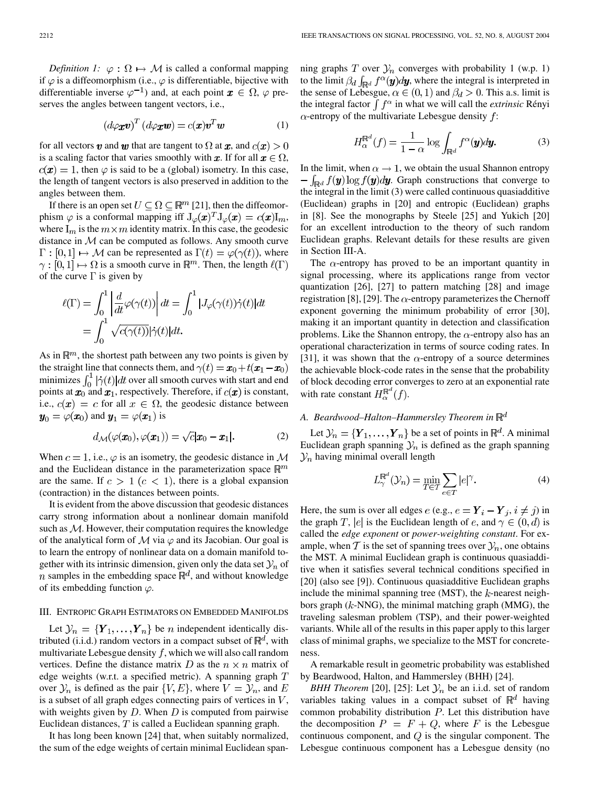*Definition 1:*  $\varphi$  :  $\Omega \mapsto M$  is called a conformal mapping if  $\varphi$  is a diffeomorphism (i.e.,  $\varphi$  is differentiable, bijective with differentiable inverse  $\varphi^{-1}$ ) and, at each point  $x \in \Omega$ ,  $\varphi$  preserves the angles between tangent vectors, i.e.,

$$
\left(d\varphi_{\boldsymbol{x}}\boldsymbol{v}\right)^{T}\left(d\varphi_{\boldsymbol{x}}\boldsymbol{w}\right)=c(\boldsymbol{x})\boldsymbol{v}^{T}\boldsymbol{w}\tag{1}
$$

for all vectors v and w that are tangent to  $\Omega$  at x, and  $c(x) > 0$ is a scaling factor that varies smoothly with x. If for all  $x \in \Omega$ ,  $c(\mathbf{x}) = 1$ , then  $\varphi$  is said to be a (global) isometry. In this case, the length of tangent vectors is also preserved in addition to the angles between them.

If there is an open set  $U \subseteq \Omega \subseteq \mathbb{R}^m$  [\[21](#page-10-0)], then the diffeomorphism  $\varphi$  is a conformal mapping iff  $J_{\varphi}(\boldsymbol{x})^T J_{\varphi}(\boldsymbol{x}) = c(\boldsymbol{x}) I_m$ , where  $I_m$  is the  $m \times m$  identity matrix. In this case, the geodesic distance in  $M$  can be computed as follows. Any smooth curve  $\Gamma : [0,1] \mapsto \mathcal{M}$  can be represented as  $\Gamma(t) = \varphi(\gamma(t))$ , where  $\gamma : [0,1] \mapsto \Omega$  is a smooth curve in  $\mathbb{R}^m$ . Then, the length  $\ell(\Gamma)$ of the curve  $\Gamma$  is given by

$$
\ell(\Gamma) = \int_0^1 \left| \frac{d}{dt} \varphi(\gamma(t)) \right| dt = \int_0^1 |J_\varphi(\gamma(t))\dot{\gamma}(t)| dt
$$
  
= 
$$
\int_0^1 \sqrt{c(\gamma(t))} |\dot{\gamma}(t)| dt.
$$

As in  $\mathbb{R}^m$ , the shortest path between any two points is given by the straight line that connects them, and  $\gamma(t) = x_0 + t(x_1 - x_0)$ minimizes  $\int_0^1 |\dot{\gamma}(t)| dt$  over all smooth curves with start and end points at  $x_0$  and  $x_1$ , respectively. Therefore, if  $c(x)$  is constant, i.e.,  $c(x) = c$  for all  $x \in \Omega$ , the geodesic distance between  $y_0 = \varphi(x_0)$  and  $y_1 = \varphi(x_1)$  is

$$
d_{\mathcal{M}}(\varphi(\boldsymbol{x}_0), \varphi(\boldsymbol{x}_1)) = \sqrt{c}|\boldsymbol{x}_0 - \boldsymbol{x}_1|.
$$
 (2)

When  $c = 1$ , i.e.,  $\varphi$  is an isometry, the geodesic distance in M and the Euclidean distance in the parameterization space  $\mathbb{R}^m$ are the same. If  $c > 1$  ( $c < 1$ ), there is a global expansion (contraction) in the distances between points.

It is evident from the above discussion that geodesic distances carry strong information about a nonlinear domain manifold such as  $M$ . However, their computation requires the knowledge of the analytical form of M via  $\varphi$  and its Jacobian. Our goal is to learn the entropy of nonlinear data on a domain manifold together with its intrinsic dimension, given only the data set  $\mathcal{Y}_n$  of *n* samples in the embedding space  $\mathbb{R}^d$ , and without knowledge of its embedding function  $\varphi$ .

# III. ENTROPIC GRAPH ESTIMATORS ON EMBEDDED MANIFOLDS

Let  $\mathcal{Y}_n = \{Y_1, \ldots, Y_n\}$  be *n* independent identically distributed (i.i.d.) random vectors in a compact subset of  $\mathbb{R}^d$ , with multivariate Lebesgue density  $f$ , which we will also call random vertices. Define the distance matrix D as the  $n \times n$  matrix of edge weights (w.r.t. a specified metric). A spanning graph  $T$ over  $\mathcal{Y}_n$  is defined as the pair  $\{V, E\}$ , where  $V = \mathcal{Y}_n$ , and E is a subset of all graph edges connecting pairs of vertices in  $V$ , with weights given by  $D$ . When  $D$  is computed from pairwise Euclidean distances,  $T$  is called a Euclidean spanning graph.

It has long been known [[24\]](#page-10-0) that, when suitably normalized, the sum of the edge weights of certain minimal Euclidean spanning graphs T over  $\mathcal{Y}_n$  converges with probability 1 (w.p. 1) to the limit  $\beta_d \int_{\mathbb{R}^d} f^{\alpha}(\mathbf{y}) d\mathbf{y}$ , where the integral is interpreted in the sense of Lebesgue,  $\alpha \in (0,1)$  and  $\beta_d > 0$ . This a.s. limit is the integral factor  $\int f^{\alpha}$  in what we will call the *extrinsic* Rényi  $\alpha$ -entropy of the multivariate Lebesgue density  $f$ :

$$
H_{\alpha}^{\mathbb{R}^d}(f) = \frac{1}{1-\alpha} \log \int_{\mathbb{R}^d} f^{\alpha}(\mathbf{y}) d\mathbf{y}.
$$
 (3)

In the limit, when  $\alpha \rightarrow 1$ , we obtain the usual Shannon entropy  $-\int_{\mathbb{R}^d} f(\mathbf{y}) \log f(\mathbf{y}) d\mathbf{y}$ . Graph constructions that converge to the integral in the limit (3) were called continuous quasiadditive (Euclidean) graphs in [\[20](#page-10-0)] and entropic (Euclidean) graphs in [\[8\]](#page-10-0). See the monographs by Steele [\[25](#page-10-0)] and Yukich [\[20](#page-10-0)] for an excellent introduction to the theory of such random Euclidean graphs. Relevant details for these results are given in Section III-A.

The  $\alpha$ -entropy has proved to be an important quantity in signal processing, where its applications range from vector quantization [[26\]](#page-10-0), [[27\]](#page-10-0) to pattern matching [\[28](#page-10-0)] and image registration [\[8](#page-10-0)], [\[29](#page-10-0)]. The  $\alpha$ -entropy parameterizes the Chernoff exponent governing the minimum probability of error [[30\]](#page-10-0), making it an important quantity in detection and classification problems. Like the Shannon entropy, the  $\alpha$ -entropy also has an operational characterization in terms of source coding rates. In [[31\]](#page-10-0), it was shown that the  $\alpha$ -entropy of a source determines the achievable block-code rates in the sense that the probability of block decoding error converges to zero at an exponential rate with rate constant  $H_{\alpha}^{\mathbb{R}^d}(f)$ .

# *A. Beardwood–Halton–Hammersley Theorem in*

Let  $\mathcal{Y}_n = \{Y_1, \dots, Y_n\}$  be a set of points in  $\mathbb{R}^d$ . A minimal Euclidean graph spanning  $\mathcal{Y}_n$  is defined as the graph spanning  $\mathcal{Y}_n$  having minimal overall length

$$
L^{\mathbb{R}^d}_{\gamma}(\mathcal{Y}_n) = \min_{T \in \mathcal{T}} \sum_{e \in T} |e|^{\gamma}.
$$
 (4)

Here, the sum is over all edges  $e$  (e.g.,  $e = Y_i - Y_j$ ,  $i \neq j$ ) in the graph T, |e| is the Euclidean length of e, and  $\gamma \in (0, d)$  is called the *edge exponent* or *power-weighting constant*. For example, when  $\mathcal T$  is the set of spanning trees over  $\mathcal Y_n$ , one obtains the MST. A minimal Euclidean graph is continuous quasiadditive when it satisfies several technical conditions specified in [[20\]](#page-10-0) (also see [\[9](#page-10-0)]). Continuous quasiadditive Euclidean graphs include the minimal spanning tree (MST), the  $k$ -nearest neighbors graph  $(k\text{-}NNG)$ , the minimal matching graph (MMG), the traveling salesman problem (TSP), and their power-weighted variants. While all of the results in this paper apply to this larger class of minimal graphs, we specialize to the MST for concreteness.

A remarkable result in geometric probability was established by Beardwood, Halton, and Hammersley (BHH) [\[24](#page-10-0)].

*BHH Theorem* [[20\]](#page-10-0), [\[25](#page-10-0)]: Let  $\mathcal{Y}_n$  be an i.i.d. set of random variables taking values in a compact subset of  $\mathbb{R}^d$  having common probability distribution  $P$ . Let this distribution have the decomposition  $P = F + Q$ , where F is the Lebesgue continuous component, and  $Q$  is the singular component. The Lebesgue continuous component has a Lebesgue density (no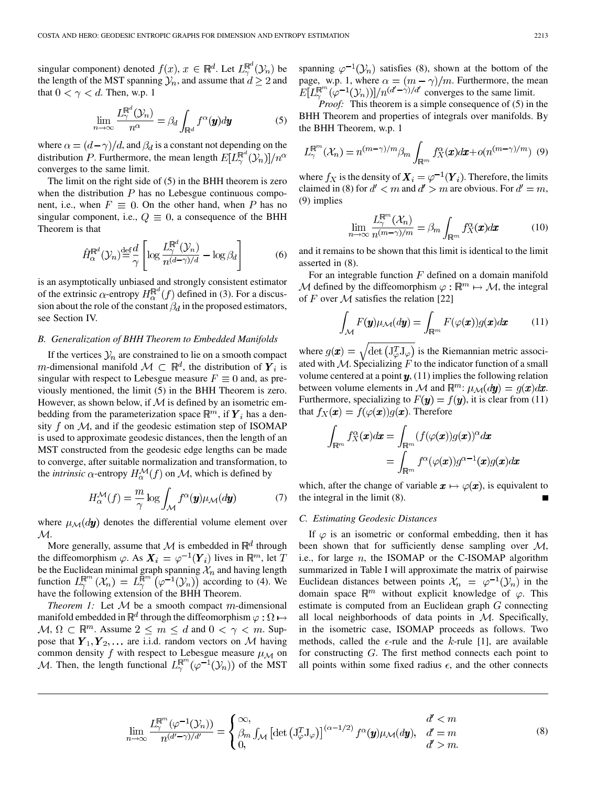singular component) denoted  $f(x), x \in \mathbb{R}^d$ . Let  $L^{\mathbb{R}^d}(\mathcal{Y}_n)$  be the length of the MST spanning  $\mathcal{Y}_n$ , and assume that  $d \geq 2$  and that  $0 < \gamma < d$ . Then, w.p. 1

$$
\lim_{n \to \infty} \frac{L_{\gamma}^{\mathbb{R}^{d}}(\mathcal{Y}_{n})}{n^{\alpha}} = \beta_{d} \int_{\mathbb{R}^{d}} f^{\alpha}(\mathbf{y}) d\mathbf{y}
$$
(5)

where  $\alpha = (d-\gamma)/d$ , and  $\beta_d$  is a constant not depending on the distribution P. Furthermore, the mean length  $E[L_{\gamma}^{\mathbb{R}^d}(\mathcal{Y}_n)]/n^{\alpha}$ converges to the same limit.

The limit on the right side of (5) in the BHH theorem is zero when the distribution  $P$  has no Lebesgue continuous component, i.e., when  $F \equiv 0$ . On the other hand, when P has no singular component, i.e.,  $Q \equiv 0$ , a consequence of the BHH Theorem is that

$$
\hat{H}_{\alpha}^{\mathbb{R}^d}(\mathcal{Y}_n) \stackrel{\text{def}}{=} \frac{d}{\gamma} \left[ \log \frac{L_{\gamma}^{\mathbb{R}^d}(\mathcal{Y}_n)}{n^{(d-\gamma)/d}} - \log \beta_d \right] \tag{6}
$$

is an asymptotically unbiased and strongly consistent estimator of the extrinsic  $\alpha$ -entropy  $H_{\alpha}^{\mathbb{R}^d}(f)$  defined in (3). For a discussion about the role of the constant  $\beta_d$  in the proposed estimators, see Section IV.

## *B. Generalization of BHH Theorem to Embedded Manifolds*

If the vertices  $\mathcal{Y}_n$  are constrained to lie on a smooth compact m-dimensional manifold  $\mathcal{M} \subset \mathbb{R}^d$ , the distribution of  $Y_i$  is singular with respect to Lebesgue measure  $F \equiv 0$  and, as previously mentioned, the limit (5) in the BHH Theorem is zero. However, as shown below, if  $M$  is defined by an isometric embedding from the parameterization space  $\mathbb{R}^m$ , if  $Y_i$  has a density  $f$  on  $M$ , and if the geodesic estimation step of ISOMAP is used to approximate geodesic distances, then the length of an MST constructed from the geodesic edge lengths can be made to converge, after suitable normalization and transformation, to the *intrinsic*  $\alpha$ -entropy  $H_{\alpha}^{\mathcal{M}}(f)$  on  $\mathcal{M}$ , which is defined by

$$
H_{\alpha}^{\mathcal{M}}(f) = \frac{m}{\gamma} \log \int_{\mathcal{M}} f^{\alpha}(\mathbf{y}) \mu_{\mathcal{M}}(d\mathbf{y}) \tag{7}
$$

where  $\mu_{\mathcal{M}}(d\mathbf{y})$  denotes the differential volume element over  $\mathcal{M}.$ 

More generally, assume that M is embedded in  $\mathbb{R}^d$  through the diffeomorphism  $\varphi$ . As  $\mathbf{X}_i = \varphi^{-1}(\mathbf{Y}_i)$  lives in  $\mathbb{R}^m$ , let T be the Euclidean minimal graph spanning  $\mathcal{X}_n$  and having length function  $L^{\mathbb{R}^m}_{\gamma}(\mathcal{X}_n) = L^{\mathbb{R}^m}_{\gamma}(\varphi^{-1}(\mathcal{Y}_n))$  according to (4). We have the following extension of the BHH Theorem.

*Theorem 1:* Let  $M$  be a smooth compact  $m$ -dimensional manifold embedded in  $\mathbb{R}^d$  through the diffeomorphism  $\varphi : \Omega \mapsto$  $\mathcal{M}, \Omega \subset \mathbb{R}^m$ . Assume  $2 \leq m \leq d$  and  $0 < \gamma < m$ . Suppose that  $Y_1, Y_2, \ldots$  are i.i.d. random vectors on M having common density f with respect to Lebesgue measure  $\mu_{\mathcal{M}}$  on M. Then, the length functional  $L^{\mathbb{R}^m}_\gamma(\varphi^{-1}(\mathcal{Y}_n))$  of the MST spanning  $\varphi^{-1}(\mathcal{Y}_n)$  satisfies (8), shown at the bottom of the page, w.p. 1, where  $\alpha = (m - \gamma)/m$ . Furthermore, the mean converges to the same limit.

*Proof:* This theorem is a simple consequence of (5) in the BHH Theorem and properties of integrals over manifolds. By the BHH Theorem, w.p. 1

$$
L^{\mathbb{R}^m}_{\gamma}(\mathcal{X}_n) = n^{(m-\gamma)/m} \beta_m \int_{\mathbb{R}^m} f_X^{\alpha}(\boldsymbol{x}) d\boldsymbol{x} + o(n^{(m-\gamma)/m}) \tag{9}
$$

where  $f_X$  is the density of  $\mathbf{X}_i = \varphi^{-1}(\mathbf{Y}_i)$ . Therefore, the limits claimed in (8) for  $d' < m$  and  $d' > m$  are obvious. For  $d' = m$ , (9) implies

$$
\lim_{n \to \infty} \frac{L^{\mathbb{R}^m}_\gamma(\mathcal{X}_n)}{n^{(m-\gamma)/m}} = \beta_m \int_{\mathbb{R}^m} f_X^{\alpha}(\boldsymbol{x}) d\boldsymbol{x} \tag{10}
$$

and it remains to be shown that this limit is identical to the limit asserted in (8).

For an integrable function  $F$  defined on a domain manifold M defined by the diffeomorphism  $\varphi : \mathbb{R}^m \mapsto \mathcal{M}$ , the integral of F over M satisfies the relation [[22\]](#page-10-0)

$$
\int_{\mathcal{M}} F(\mathbf{y}) \mu_{\mathcal{M}}(d\mathbf{y}) = \int_{\mathbb{R}^m} F(\varphi(\mathbf{x})) g(\mathbf{x}) d\mathbf{x} \tag{11}
$$

where  $g(x) = \sqrt{\det (J_{\varphi}^T J_{\varphi})}$  is the Riemannian metric associated with  $M$ . Specializing  $F$  to the indicator function of a small volume centered at a point  $y$ , (11) implies the following relation between volume elements in M and  $\mathbb{R}^m$ :  $\mu_{\mathcal{M}}(dy) = g(x)dx$ . Furthermore, specializing to  $F(y) = f(y)$ , it is clear from (11) that  $f_X(\mathbf{x}) = f(\varphi(\mathbf{x}))g(\mathbf{x})$ . Therefore

$$
\int_{\mathbb{R}^m} f_X^{\alpha}(\mathbf{x}) d\mathbf{x} = \int_{\mathbb{R}^m} (f(\varphi(\mathbf{x})) g(\mathbf{x}))^{\alpha} d\mathbf{x}
$$

$$
= \int_{\mathbb{R}^m} f^{\alpha}(\varphi(\mathbf{x})) g^{\alpha - 1}(\mathbf{x}) g(\mathbf{x}) d\mathbf{x}
$$

which, after the change of variable  $x \mapsto \varphi(x)$ , is equivalent to the integral in the limit (8).

#### *C. Estimating Geodesic Distances*

If  $\varphi$  is an isometric or conformal embedding, then it has been shown that for sufficiently dense sampling over  $M$ , i.e., for large  $n$ , the ISOMAP or the C-ISOMAP algorithm summarized in Table I will approximate the matrix of pairwise Euclidean distances between points  $\mathcal{X}_n = \varphi^{-1}(\mathcal{Y}_n)$  in the domain space  $\mathbb{R}^m$  without explicit knowledge of  $\varphi$ . This estimate is computed from an Euclidean graph  $G$  connecting all local neighborhoods of data points in  $M$ . Specifically, in the isometric case, ISOMAP proceeds as follows. Two methods, called the  $\epsilon$ -rule and the k-rule [\[1](#page-10-0)], are available for constructing  $G$ . The first method connects each point to all points within some fixed radius  $\epsilon$ , and the other connects

$$
\lim_{n \to \infty} \frac{L_{\gamma}^{\mathbb{R}^m}(\varphi^{-1}(\mathcal{Y}_n))}{n^{(d'-\gamma)/d'}} = \begin{cases} \infty, & d' < m \\ \beta_m \int_{\mathcal{M}} \left[ \det \left( \mathbf{J}_{\varphi}^T \mathbf{J}_{\varphi} \right) \right]^{(\alpha-1/2)} f^{\alpha}(\mathbf{y}) \mu_{\mathcal{M}}(d\mathbf{y}), & d' = m \\ 0, & d' > m. \end{cases}
$$
(8)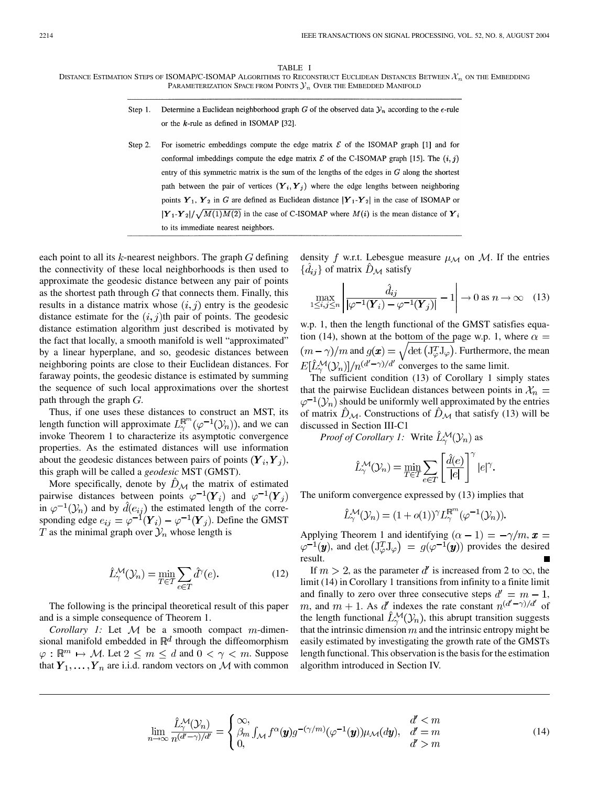each point to all its  $k$ -nearest neighbors. The graph  $G$  defining the connectivity of these local neighborhoods is then used to approximate the geodesic distance between any pair of points as the shortest path through  $G$  that connects them. Finally, this results in a distance matrix whose  $(i, j)$  entry is the geodesic distance estimate for the  $(i, j)$ th pair of points. The geodesic distance estimation algorithm just described is motivated by the fact that locally, a smooth manifold is well "approximated" by a linear hyperplane, and so, geodesic distances between neighboring points are close to their Euclidean distances. For faraway points, the geodesic distance is estimated by summing the sequence of such local approximations over the shortest path through the graph  $G$ .

Step 1.

Step 2.

Thus, if one uses these distances to construct an MST, its length function will approximate  $L^{\mathbb{R}^m}_\gamma(\varphi^{-1}(\mathcal{Y}_n))$ , and we can invoke Theorem 1 to characterize its asymptotic convergence properties. As the estimated distances will use information about the geodesic distances between pairs of points  $(Y_i, Y_j)$ , this graph will be called a *geodesic* MST (GMST).

More specifically, denote by  $\ddot{D}_{\mathcal{M}}$  the matrix of estimated pairwise distances between points  $\varphi^{-1}(\mathbf{Y}_i)$  and  $\varphi^{-1}(\mathbf{Y}_j)$ in  $\varphi^{-1}(\mathcal{Y}_n)$  and by  $d(e_{ij})$  the estimated length of the corresponding edge  $e_{ij} = \varphi^{-1}(\boldsymbol{Y}_i) - \varphi^{-1}(\boldsymbol{Y}_j)$ . Define the GMST T as the minimal graph over  $\mathcal{Y}_n$  whose length is

$$
\hat{L}_{\gamma}^{\mathcal{M}}(\mathcal{Y}_n) = \min_{T \in \mathcal{T}} \sum_{e \in T} \hat{d}^{\gamma}(e). \tag{12}
$$

The following is the principal theoretical result of this paper and is a simple consequence of Theorem 1.

*Corollary 1:* Let  $M$  be a smooth compact  $m$ -dimensional manifold embedded in  $\mathbb{R}^d$  through the diffeomorphism  $\varphi : \mathbb{R}^m \mapsto \mathcal{M}$ . Let  $2 \leq m \leq d$  and  $0 < \gamma < m$ . Suppose that  $Y_1, \ldots, Y_n$  are i.i.d. random vectors on M with common density f w.r.t. Lebesgue measure  $\mu_{\mathcal{M}}$  on M. If the entries  $\{d_{ij}\}\$  of matrix  $D_{\mathcal{M}}$  satisfy

$$
\max_{1 \le i,j \le n} \left| \frac{\hat{d}_{ij}}{|\varphi^{-1}(\boldsymbol{Y}_i) - \varphi^{-1}(\boldsymbol{Y}_j)|} - 1 \right| \to 0 \text{ as } n \to \infty \quad (13)
$$

w.p. 1, then the length functional of the GMST satisfies equation (14), shown at the bottom of the page w.p. 1, where  $\alpha =$  $(m-\gamma)/m$  and  $g(\mathbf{x}) = \sqrt{\det(\mathbf{J}_{\varphi}^T \mathbf{J}_{\varphi})}$ . Furthermore, the mean  $E[\hat{L}_{\gamma}^{\mathcal{M}}(\mathcal{Y}_n)]/n^{(d'-\gamma)/d'}$  converges to the same limit.

The sufficient condition (13) of Corollary 1 simply states that the pairwise Euclidean distances between points in  $\mathcal{X}_n =$  $\varphi^{-1}(\mathcal{Y}_n)$  should be uniformly well approximated by the entries of matrix  $\hat{D}_{\mathcal{M}}$ . Constructions of  $\hat{D}_{\mathcal{M}}$  that satisfy (13) will be discussed in Section III-C1

*Proof of Corollary 1:* Write  $\hat{L}_{\gamma}^{\mathcal{M}}(\mathcal{Y}_n)$  as

$$
\hat{L}_{\gamma}^{\mathcal{M}}(\mathcal{Y}_n) = \min_{T \in \mathcal{T}} \sum_{e \in T} \left[ \frac{\hat{d}(e)}{|e|} \right]^{\gamma} |e|^{\gamma}
$$

The uniform convergence expressed by (13) implies that

$$
\hat{L}_{\gamma}^{\mathcal{M}}(\mathcal{Y}_n) = (1 + o(1))^{\gamma} L_{\gamma}^{\mathbb{R}^m}(\varphi^{-1}(\mathcal{Y}_n)).
$$

Applying Theorem 1 and identifying  $(\alpha - 1) = -\gamma/m$ , , and  $\det (J_{\varphi}^{T}J_{\varphi}) = g(\varphi^{-1}(\mathbf{y}))$  provides the desired result.

If  $m > 2$ , as the parameter d' is increased from 2 to  $\infty$ , the limit (14) in Corollary 1 transitions from infinity to a finite limit and finally to zero over three consecutive steps  $d' = m - 1$ , m, and  $m + 1$ . As d' indexes the rate constant  $n^{(d'-\gamma)/d'}$  of the length functional  $\hat{L}_{\gamma}^{\mathcal{M}}(\mathcal{Y}_n)$ , this abrupt transition suggests that the intrinsic dimension  $m$  and the intrinsic entropy might be easily estimated by investigating the growth rate of the GMSTs length functional. This observation is the basis for the estimation algorithm introduced in Section IV.

$$
\lim_{n \to \infty} \frac{\hat{L}_{\gamma}^{\mathcal{M}}(\mathcal{Y}_n)}{n^{(d'-\gamma)/d'}} = \begin{cases} \infty, & d' < m \\ \beta_m \int_{\mathcal{M}} f^{\alpha}(\mathbf{y}) g^{-(\gamma/m)}(\varphi^{-1}(\mathbf{y})) \mu_{\mathcal{M}}(d\mathbf{y}), & d' = m \\ 0, & d' > m \end{cases}
$$
(14)

or the  $k$ -rule as defined in ISOMAP [32].

to its immediate nearest neighbors.

Determine a Euclidean neighborhood graph G of the observed data  $\mathcal{Y}_n$  according to the  $\epsilon$ -rule

For isometric embeddings compute the edge matrix  $\mathcal E$  of the ISOMAP graph [1] and for

conformal imbeddings compute the edge matrix  $\mathcal E$  of the C-ISOMAP graph [15]. The  $(i, j)$ entry of this symmetric matrix is the sum of the lengths of the edges in  $G$  along the shortest path between the pair of vertices  $(Y_i, Y_j)$  where the edge lengths between neighboring points  $Y_1$ ,  $Y_2$  in G are defined as Euclidean distance  $|Y_1 - Y_2|$  in the case of ISOMAP or  $|Y_1-Y_2|/\sqrt{M(1)M(2)}$  in the case of C-ISOMAP where  $M(i)$  is the mean distance of  $Y_i$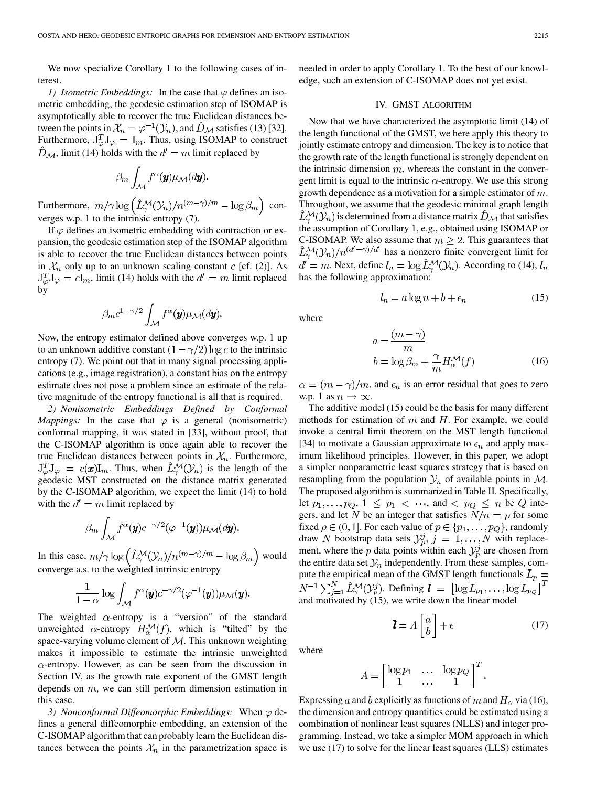We now specialize Corollary 1 to the following cases of interest.

*1) Isometric Embeddings:* In the case that  $\varphi$  defines an isometric embedding, the geodesic estimation step of ISOMAP is asymptotically able to recover the true Euclidean distances between the points in  $\mathcal{X}_n = \varphi^{-1}(\mathcal{Y}_n)$ , and  $\mathcal{D}_\mathcal{M}$  satisfies (13) [\[32](#page-10-0)]. Furthermore,  $J_{\varphi}^T J_{\varphi} = I_m$ . Thus, using ISOMAP to construct  $\hat{D}_{\mathcal{M}}$ , limit (14) holds with the  $d' = m$  limit replaced by

$$
\beta_m \int_{\mathcal{M}} f^\alpha(\boldsymbol{y}) \mu_{\mathcal{M}}(d\boldsymbol{y}).
$$

Furthermore,  $m/\gamma \log \left( \hat{L}_{\gamma}^{\mathcal{M}}(\mathcal{Y}_n)/n^{(m-\gamma)/m} - \log \beta_m \right)$  converges w.p. 1 to the intrinsic entropy (7).

If  $\varphi$  defines an isometric embedding with contraction or expansion, the geodesic estimation step of the ISOMAP algorithm is able to recover the true Euclidean distances between points in  $\mathcal{X}_n$  only up to an unknown scaling constant c [cf. (2)]. As  $J_{\varphi}^T J_{\varphi} = cI_m$ , limit (14) holds with the  $d' = m$  limit replaced by

$$
\beta_m c^{1-\gamma/2} \int_{\mathcal M} f^\alpha (\boldsymbol{y}) \mu_{\mathcal M} (d\boldsymbol{y}).
$$

Now, the entropy estimator defined above converges w.p. 1 up to an unknown additive constant  $(1 - \gamma/2) \log c$  to the intrinsic entropy (7). We point out that in many signal processing applications (e.g., image registration), a constant bias on the entropy estimate does not pose a problem since an estimate of the relative magnitude of the entropy functional is all that is required.

*2) Nonisometric Embeddings Defined by Conformal Mappings:* In the case that  $\varphi$  is a general (nonisometric) conformal mapping, it was stated in [\[33](#page-10-0)], without proof, that the C-ISOMAP algorithm is once again able to recover the true Euclidean distances between points in  $\mathcal{X}_n$ . Furthermore,  $J_{\varphi}^T J_{\varphi} = c(\boldsymbol{x}) I_m$ . Thus, when  $\hat{L}_{\gamma}^{\mathcal{M}}(\mathcal{Y}_n)$  is the length of the geodesic MST constructed on the distance matrix generated by the C-ISOMAP algorithm, we expect the limit (14) to hold with the  $d' = m$  limit replaced by

$$
\beta_m \int_{\mathcal{M}} f^{\alpha}(\mathbf{y}) c^{-\gamma/2} (\varphi^{-1}(\mathbf{y})) \mu_{\mathcal{M}}(d\mathbf{y}).
$$

In this case,  $m/\gamma \log \left( \hat{L}_{\gamma}^{\mathcal{M}}(\mathcal{Y}_n)/n^{(m-\gamma)/m} - \log \beta_m \right)$  would converge a.s. to the weighted intrinsic entropy

$$
\frac{1}{1-\alpha}\log\int_{\mathcal{M}}f^{\alpha}(\boldsymbol{y})c^{-\gamma/2}(\varphi^{-1}(\boldsymbol{y}))\mu_{\mathcal{M}}(\boldsymbol{y}).
$$

The weighted  $\alpha$ -entropy is a "version" of the standard unweighted  $\alpha$ -entropy  $H_{\alpha}^{\mathcal{M}}(f)$ , which is "tilted" by the space-varying volume element of  $M$ . This unknown weighting makes it impossible to estimate the intrinsic unweighted  $\alpha$ -entropy. However, as can be seen from the discussion in Section IV, as the growth rate exponent of the GMST length depends on  $m$ , we can still perform dimension estimation in this case.

*3) Nonconformal Diffeomorphic Embeddings:* When  $\varphi$  defines a general diffeomorphic embedding, an extension of the C-ISOMAP algorithm that can probably learn the Euclidean distances between the points  $\mathcal{X}_n$  in the parametrization space is needed in order to apply Corollary 1. To the best of our knowledge, such an extension of C-ISOMAP does not yet exist.

# IV. GMST ALGORITHM

Now that we have characterized the asymptotic limit (14) of the length functional of the GMST, we here apply this theory to jointly estimate entropy and dimension. The key is to notice that the growth rate of the length functional is strongly dependent on the intrinsic dimension  $m$ , whereas the constant in the convergent limit is equal to the intrinsic  $\alpha$ -entropy. We use this strong growth dependence as a motivation for a simple estimator of  $m$ . Throughout, we assume that the geodesic minimal graph length  $\hat{L}_{\gamma}^{\mathcal{M}}(\mathcal{Y}_n)$  is determined from a distance matrix  $\hat{D}_{\mathcal{M}}$  that satisfies the assumption of Corollary 1, e.g., obtained using ISOMAP or C-ISOMAP. We also assume that  $m \geq 2$ . This guarantees that  $\hat{L}_{\gamma}^{\mathcal{M}}(\mathcal{Y}_n)/n^{(d'-\gamma)/d'}$  has a nonzero finite convergent limit for  $d' = m$ . Next, define  $l_n = \log \hat{L}_{\gamma}^{\mathcal{M}}(\mathcal{Y}_n)$ . According to (14),  $l_n$ has the following approximation:

$$
l_n = a \log n + b + \epsilon_n \tag{15}
$$

where

$$
a = \frac{(m - \gamma)}{m}
$$
  

$$
b = \log \beta_m + \frac{\gamma}{m} H_{\alpha}^{\mathcal{M}}(f)
$$
 (16)

 $\alpha = (m - \gamma)/m$ , and  $\epsilon_n$  is an error residual that goes to zero w.p. 1 as  $n \to \infty$ .

The additive model (15) could be the basis for many different methods for estimation of  $m$  and  $H$ . For example, we could invoke a central limit theorem on the MST length functional [\[34](#page-11-0)] to motivate a Gaussian approximate to  $\epsilon_n$  and apply maximum likelihood principles. However, in this paper, we adopt a simpler nonparametric least squares strategy that is based on resampling from the population  $\mathcal{Y}_n$  of available points in M. The proposed algorithm is summarized in Table II. Specifically, let  $p_1, \ldots, p_Q, 1 \leq p_1 < \cdots$ , and  $\lt p_Q \leq n$  be Q integers, and let N be an integer that satisfies  $N/n = \rho$  for some fixed  $\rho \in (0,1]$ . For each value of  $p \in \{p_1, \ldots, p_Q\}$ , randomly draw N bootstrap data sets  $\mathcal{Y}_p^j$ ,  $j = 1, ..., N$  with replacement, where the p data points within each  $\mathcal{Y}_p^j$  are chosen from the entire data set  $\mathcal{Y}_n$  independently. From these samples, compute the empirical mean of the GMST length functionals  $\bar{L}_p =$ . Defining and motivated by (15), we write down the linear model

> $\overline{\bm{l}} = A \begin{bmatrix} a \\ b \end{bmatrix} + \epsilon$ (17)

where

$$
A = \begin{bmatrix} \log p_1 & \dots & \log p_Q \\ 1 & \dots & 1 \end{bmatrix}^T.
$$

Expressing a and b explicitly as functions of m and  $H_{\alpha}$  via (16), the dimension and entropy quantities could be estimated using a combination of nonlinear least squares (NLLS) and integer programming. Instead, we take a simpler MOM approach in which we use (17) to solve for the linear least squares (LLS) estimates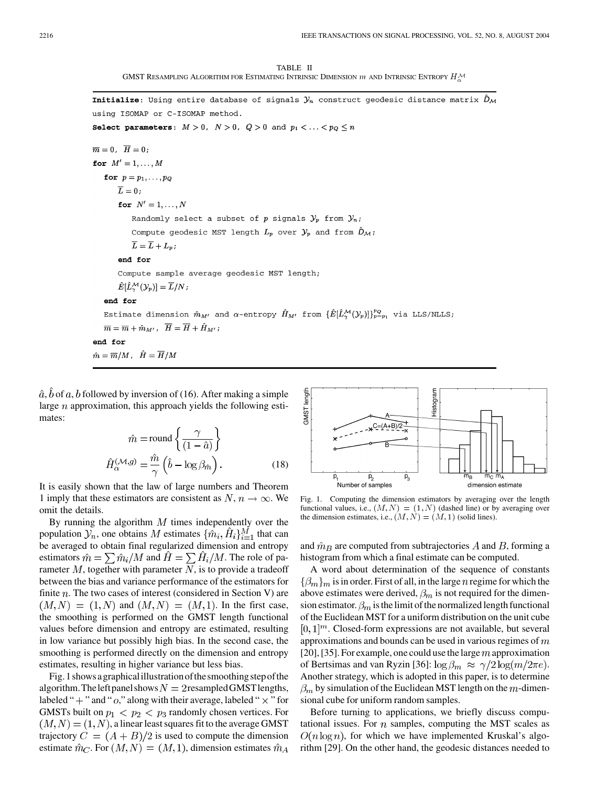TABLE II GMST RESAMPLING ALGORITHM FOR ESTIMATING INTRINSIC DIMENSION  $m$  and Intrinsic Entropy  $H_\alpha^\mathcal{M}$ 

**Initialize**: Using entire database of signals  $\mathcal{Y}_n$  construct geodesic distance matrix  $\hat{D}_\mathcal{M}$ using ISOMAP or C-ISOMAP method. Select parameters:  $M > 0$ ,  $N > 0$ ,  $Q > 0$  and  $p_1 < \ldots < p_Q \le n$  $\overline{m}=0$ ,  $\overline{H}=0$ ; for  $M' = 1, \ldots, M$ for  $p = p_1, \ldots, p_Q$  $\overline{L}=0$ ; for  $N'=1,\ldots,N$ Randomly select a subset of p signals  $\mathcal{Y}_p$  from  $\mathcal{Y}_n$ ; Compute geodesic MST length  $L_p$  over  $\mathcal{Y}_p$  and from  $\hat{D}_\mathcal{M}$ ;  $\overline{L} = \overline{L} + L_p;$ end for Compute sample average geodesic MST length;  $\hat{E}[\hat{L}_{\gamma}^{\mathcal{M}}(\mathcal{Y}_p)]=\overline{L}/N;$ end for Estimate dimension  $\hat{m}_{M'}$  and  $\alpha$ -entropy  $\hat{H}_{M'}$  from  $\{\hat{E}[\hat{L}_{\gamma}^{\mathcal{M}}(\mathcal{Y}_p)]\}_{p=q_1}^{p_q}$  via LLS/NLLS;  $\overline{m} = \overline{m} + \hat{m}_{M'}$ ,  $\overline{H} = \overline{H} + \hat{H}_{M'}$ ; end for  $\hat{m} = \overline{m}/M$ ,  $\hat{H} = \overline{H}/M$ 

 $\hat{a}, \hat{b}$  of a, b followed by inversion of (16). After making a simple large  $n$  approximation, this approach yields the following estimates:

$$
\hat{m} = \text{round}\left\{\frac{\gamma}{(1-\hat{a})}\right\}
$$

$$
\hat{H}_{\alpha}^{(\mathcal{M},g)} = \frac{\hat{m}}{\gamma} \left(\hat{b} - \log \beta_{\hat{m}}\right). \tag{18}
$$

It is easily shown that the law of large numbers and Theorem 1 imply that these estimators are consistent as  $N, n \to \infty$ . We omit the details.

By running the algorithm  $M$  times independently over the population  $\mathcal{Y}_n$ , one obtains M estimates  $\{\hat{m}_i, \hat{H}_i\}_{i=1}^M$  that can be averaged to obtain final regularized dimension and entropy estimators  $\hat{m} = \sum \hat{m}_i / M$  and  $\hat{H} = \sum \hat{H}_i / M$ . The role of parameter  $M$ , together with parameter  $N$ , is to provide a tradeoff between the bias and variance performance of the estimators for finite  $n$ . The two cases of interest (considered in Section V) are  $(M, N) = (1, N)$  and  $(M, N) = (M, 1)$ . In the first case, the smoothing is performed on the GMST length functional values before dimension and entropy are estimated, resulting in low variance but possibly high bias. In the second case, the smoothing is performed directly on the dimension and entropy estimates, resulting in higher variance but less bias.

Fig. 1 shows a graphical illustration of the smoothing step of the algorithm. The left panel shows  $N = 2$  resampled GMST lengths, labeled " + " and "  $o$ ," along with their average, labeled "  $\times$  " for GMSTs built on  $p_1 < p_2 < p_3$  randomly chosen vertices. For  $(M, N) = (1, N)$ , a linear least squares fit to the average GMST trajectory  $C = (A + B)/2$  is used to compute the dimension estimate  $\hat{m}_C$ . For  $(M, N) = (M, 1)$ , dimension estimates  $\hat{m}_A$ 



Fig. 1. Computing the dimension estimators by averaging over the length functional values, i.e.,  $(M, N) = (1, N)$  (dashed line) or by averaging over the dimension estimates, i.e.,  $(M, N) = (M, 1)$  (solid lines).

and  $\hat{m}_B$  are computed from subtrajectories A and B, forming a histogram from which a final estimate can be computed.

A word about determination of the sequence of constants  $\{\beta_m\}_m$  is in order. First of all, in the large n regime for which the above estimates were derived,  $\beta_m$  is not required for the dimension estimator.  $\beta_m$  is the limit of the normalized length functional of the Euclidean MST for a uniform distribution on the unit cube  $[0,1]^m$ . Closed-form expressions are not available, but several approximations and bounds can be used in various regimes of  $m$ [[20\]](#page-10-0), [\[35](#page-11-0)]. For example, one could use the large  $m$  approximation of Bertsimas and van Ryzin [[36\]](#page-11-0):  $\log \beta_m \approx \gamma/2 \log(m/2\pi e)$ . Another strategy, which is adopted in this paper, is to determine  $\beta_m$  by simulation of the Euclidean MST length on the m-dimensional cube for uniform random samples.

Before turning to applications, we briefly discuss computational issues. For  $n$  samples, computing the MST scales as  $O(n \log n)$ , for which we have implemented Kruskal's algorithm [[29\]](#page-10-0). On the other hand, the geodesic distances needed to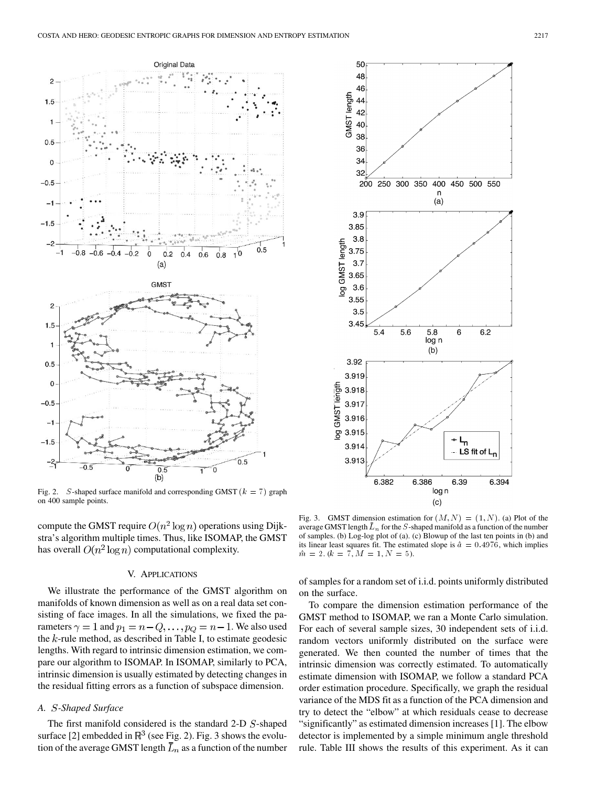

Fig. 2. S-shaped surface manifold and corresponding GMST  $(k = 7)$  graph on 400 sample points.

compute the GMST require  $O(n^2 \log n)$  operations using Dijkstra's algorithm multiple times. Thus, like ISOMAP, the GMST has overall  $O(n^2 \log n)$  computational complexity.

### V. APPLICATIONS

We illustrate the performance of the GMST algorithm on manifolds of known dimension as well as on a real data set consisting of face images. In all the simulations, we fixed the parameters  $\gamma = 1$  and  $p_1 = n - Q, \dots, p_Q = n - 1$ . We also used the  $k$ -rule method, as described in Table I, to estimate geodesic lengths. With regard to intrinsic dimension estimation, we compare our algorithm to ISOMAP. In ISOMAP, similarly to PCA, intrinsic dimension is usually estimated by detecting changes in the residual fitting errors as a function of subspace dimension.

### *A. -Shaped Surface*

The first manifold considered is the standard  $2-D$   $S$ -shaped surface [\[2](#page-10-0)] embedded in  $\mathbb{R}^3$  (see Fig. 2). Fig. 3 shows the evolution of the average GMST length  $\bar{L}_n$  as a function of the number



Fig. 3. GMST dimension estimation for  $(M, N) = (1, N)$ . (a) Plot of the average GMST length  $L_n$  for the S-shaped manifold as a function of the number of samples. (b) Log-log plot of (a). (c) Blowup of the last ten points in (b) and its linear least squares fit. The estimated slope is  $\hat{a} = 0.4976$ , which implies  $\hat{m} = 2$ .  $(k = 7, M = 1, N = 5)$ .

of samples for a random set of i.i.d. points uniformly distributed on the surface.

To compare the dimension estimation performance of the GMST method to ISOMAP, we ran a Monte Carlo simulation. For each of several sample sizes, 30 independent sets of i.i.d. random vectors uniformly distributed on the surface were generated. We then counted the number of times that the intrinsic dimension was correctly estimated. To automatically estimate dimension with ISOMAP, we follow a standard PCA order estimation procedure. Specifically, we graph the residual variance of the MDS fit as a function of the PCA dimension and try to detect the "elbow" at which residuals cease to decrease "significantly" as estimated dimension increases [[1\]](#page-10-0). The elbow detector is implemented by a simple minimum angle threshold rule. Table III shows the results of this experiment. As it can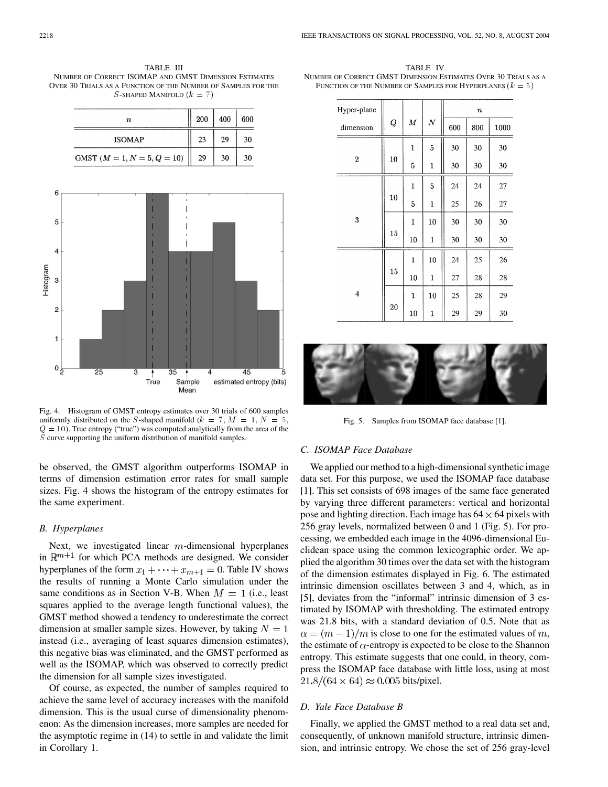TABLE III NUMBER OF CORRECT ISOMAP AND GMST DIMENSION ESTIMATES OVER 30 TRIALS AS A FUNCTION OF THE NUMBER OF SAMPLES FOR THE S-SHAPED MANIFOLD  $(k = 7)$ 

| $\it n$                       | 200 | 400 | 600 |  |
|-------------------------------|-----|-----|-----|--|
| <b>ISOMAP</b>                 | 23  | 29  | 30  |  |
| GMST $(M = 1, N = 5, Q = 10)$ | 29  | 30  | 30  |  |



Fig. 4. Histogram of GMST entropy estimates over 30 trials of 600 samples uniformly distributed on the S-shaped manifold ( $k = 7$ ,  $M = 1$ ,  $N = 5$ ,  $Q = 10$ ). True entropy ("true") was computed analytically from the area of the S curve supporting the uniform distribution of manifold samples.

be observed, the GMST algorithm outperforms ISOMAP in terms of dimension estimation error rates for small sample sizes. Fig. 4 shows the histogram of the entropy estimates for the same experiment.

#### *B. Hyperplanes*

Next, we investigated linear  $m$ -dimensional hyperplanes in  $\mathbb{R}^{m+1}$  for which PCA methods are designed. We consider hyperplanes of the form  $x_1 + \cdots + x_{m+1} = 0$ . Table IV shows the results of running a Monte Carlo simulation under the same conditions as in Section V-B. When  $M = 1$  (i.e., least squares applied to the average length functional values), the GMST method showed a tendency to underestimate the correct dimension at smaller sample sizes. However, by taking  $N = 1$ instead (i.e., averaging of least squares dimension estimates), this negative bias was eliminated, and the GMST performed as well as the ISOMAP, which was observed to correctly predict the dimension for all sample sizes investigated.

Of course, as expected, the number of samples required to achieve the same level of accuracy increases with the manifold dimension. This is the usual curse of dimensionality phenomenon: As the dimension increases, more samples are needed for the asymptotic regime in (14) to settle in and validate the limit in Corollary 1.

TABLE IV NUMBER OF CORRECT GMST DIMENSION ESTIMATES OVER 30 TRIALS AS A FUNCTION OF THE NUMBER OF SAMPLES FOR HYPERPLANES  $(k = 5)$ 

| Hyper-plane    |          | $\cal M$     | $\boldsymbol{N}$ | $\boldsymbol{n}$ |     |      |
|----------------|----------|--------------|------------------|------------------|-----|------|
| dimension      | $\pmb Q$ |              |                  | 600              | 800 | 1000 |
| $\overline{2}$ |          | $\mathbf 1$  | 5                | 30               | 30  | 30   |
|                | $10\,$   | 5            | $\mathbf{1}$     | 30               | 30  | 30   |
| 3              |          | $\mathbf 1$  | 5                | 24               | 24  | 27   |
|                | 10       | 5            | 1                | 25               | 26  | 27   |
|                | 15       | $\mathbf{1}$ | 10               | 30               | 30  | 30   |
|                |          | 10           | 1                | 30               | 30  | 30   |
| 4              | 15       | $\mathbf{1}$ | 10               | 24               | 25  | 26   |
|                |          | 10           | $\mathbf{1}$     | 27               | 28  | 28   |
|                |          | $\mathbf{1}$ | 10               | 25               | 28  | 29   |
|                | 20       | 10           | $\mathbf{1}$     | 29               | 29  | 30   |



Fig. 5. Samples from ISOMAP face database [\[1](#page-10-0)].

# *C. ISOMAP Face Database*

We applied our method to a high-dimensional synthetic image data set. For this purpose, we used the ISOMAP face database [[1\]](#page-10-0). This set consists of 698 images of the same face generated by varying three different parameters: vertical and horizontal pose and lighting direction. Each image has  $64 \times 64$  pixels with 256 gray levels, normalized between 0 and 1 (Fig. 5). For processing, we embedded each image in the 4096-dimensional Euclidean space using the common lexicographic order. We applied the algorithm 30 times over the data set with the histogram of the dimension estimates displayed in Fig. 6. The estimated intrinsic dimension oscillates between 3 and 4, which, as in [[5\]](#page-10-0), deviates from the "informal" intrinsic dimension of 3 estimated by ISOMAP with thresholding. The estimated entropy was 21.8 bits, with a standard deviation of 0.5. Note that as  $\alpha = (m-1)/m$  is close to one for the estimated values of m, the estimate of  $\alpha$ -entropy is expected to be close to the Shannon entropy. This estimate suggests that one could, in theory, compress the ISOMAP face database with little loss, using at most  $21.8/(64 \times 64) \approx 0.005$  bits/pixel.

#### *D. Yale Face Database B*

Finally, we applied the GMST method to a real data set and, consequently, of unknown manifold structure, intrinsic dimension, and intrinsic entropy. We chose the set of 256 gray-level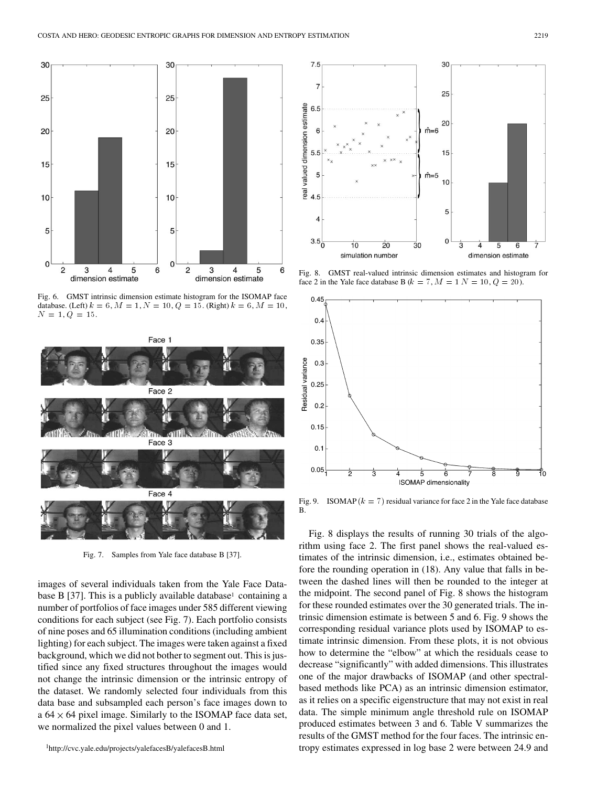

Fig. 6. GMST intrinsic dimension estimate histogram for the ISOMAP face database. (Left)  $k = 6, M = 1, N = 10, Q = 15$ . (Right)  $k = 6, M = 10$ ,  $N = 1, Q = 15.$ 



Fig. 7. Samples from Yale face database B [[37\]](#page-11-0).

images of several individuals taken from the Yale Face Data-base B [[37\]](#page-11-0). This is a publicly available database<sup>1</sup> containing a number of portfolios of face images under 585 different viewing conditions for each subject (see Fig. 7). Each portfolio consists of nine poses and 65 illumination conditions (including ambient lighting) for each subject. The images were taken against a fixed background, which we did not bother to segment out. This is justified since any fixed structures throughout the images would not change the intrinsic dimension or the intrinsic entropy of the dataset. We randomly selected four individuals from this data base and subsampled each person's face images down to a  $64 \times 64$  pixel image. Similarly to the ISOMAP face data set, we normalized the pixel values between 0 and 1.



Fig. 8. GMST real-valued intrinsic dimension estimates and histogram for face 2 in the Yale face database B ( $k = 7$ ,  $M = 1$   $N = 10$ ,  $Q = 20$ ).



Fig. 9. ISOMAP ( $k = 7$ ) residual variance for face 2 in the Yale face database B.

Fig. 8 displays the results of running 30 trials of the algorithm using face 2. The first panel shows the real-valued estimates of the intrinsic dimension, i.e., estimates obtained before the rounding operation in (18). Any value that falls in between the dashed lines will then be rounded to the integer at the midpoint. The second panel of Fig. 8 shows the histogram for these rounded estimates over the 30 generated trials. The intrinsic dimension estimate is between 5 and 6. Fig. 9 shows the corresponding residual variance plots used by ISOMAP to estimate intrinsic dimension. From these plots, it is not obvious how to determine the "elbow" at which the residuals cease to decrease "significantly" with added dimensions. This illustrates one of the major drawbacks of ISOMAP (and other spectralbased methods like PCA) as an intrinsic dimension estimator, as it relies on a specific eigenstructure that may not exist in real data. The simple minimum angle threshold rule on ISOMAP produced estimates between 3 and 6. Table V summarizes the results of the GMST method for the four faces. The intrinsic entropy estimates expressed in log base 2 were between 24.9 and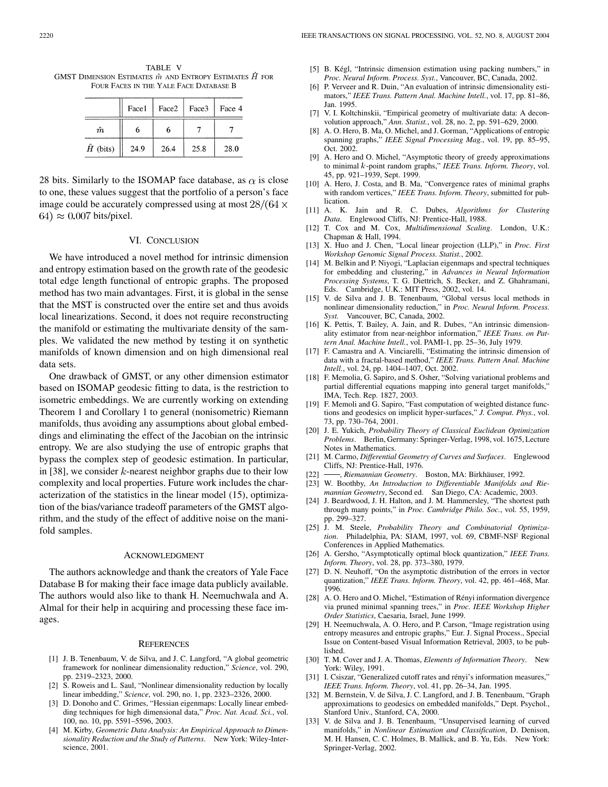<span id="page-10-0"></span>TABLE V GMST DIMENSION ESTIMATES  $\hat{m}$  and Entropy Estimates H for FOUR FACES IN THE YALE FACE DATABASE B

|                  | Face1 | Face2 | Face3 | Face 4 |
|------------------|-------|-------|-------|--------|
| m                | 6     | 6     |       |        |
| $\hat{H}$ (bits) | 24.9  | 26.4  | 25.8  | 28.0   |

28 bits. Similarly to the ISOMAP face database, as  $\alpha$  is close to one, these values suggest that the portfolio of a person's face image could be accurately compressed using at most  $28/(64 \times$  $64) \approx 0.007$  bits/pixel.

# VI. CONCLUSION

We have introduced a novel method for intrinsic dimension and entropy estimation based on the growth rate of the geodesic total edge length functional of entropic graphs. The proposed method has two main advantages. First, it is global in the sense that the MST is constructed over the entire set and thus avoids local linearizations. Second, it does not require reconstructing the manifold or estimating the multivariate density of the samples. We validated the new method by testing it on synthetic manifolds of known dimension and on high dimensional real data sets.

One drawback of GMST, or any other dimension estimator based on ISOMAP geodesic fitting to data, is the restriction to isometric embeddings. We are currently working on extending Theorem 1 and Corollary 1 to general (nonisometric) Riemann manifolds, thus avoiding any assumptions about global embeddings and eliminating the effect of the Jacobian on the intrinsic entropy. We are also studying the use of entropic graphs that bypass the complex step of geodesic estimation. In particular, in [\[38](#page-11-0)], we consider  $k$ -nearest neighbor graphs due to their low complexity and local properties. Future work includes the characterization of the statistics in the linear model (15), optimization of the bias/variance tradeoff parameters of the GMST algorithm, and the study of the effect of additive noise on the manifold samples.

#### ACKNOWLEDGMENT

The authors acknowledge and thank the creators of Yale Face Database B for making their face image data publicly available. The authors would also like to thank H. Neemuchwala and A. Almal for their help in acquiring and processing these face images.

#### **REFERENCES**

- [1] J. B. Tenenbaum, V. de Silva, and J. C. Langford, "A global geometric framework for nonlinear dimensionality reduction," *Science*, vol. 290, pp. 2319–2323, 2000.
- [2] S. Roweis and L. Saul, "Nonlinear dimensionality reduction by locally linear imbedding," *Science*, vol. 290, no. 1, pp. 2323–2326, 2000.
- [3] D. Donoho and C. Grimes, "Hessian eigenmaps: Locally linear embedding techniques for high dimensional data," *Proc. Nat. Acad. Sci.*, vol. 100, no. 10, pp. 5591–5596, 2003.
- [4] M. Kirby, *Geometric Data Analysis: An Empirical Approach to Dimensionality Reduction and the Study of Patterns*. New York: Wiley-Interscience, 2001.
- [5] B. Kégl, "Intrinsic dimension estimation using packing numbers," in *Proc. Neural Inform. Process. Syst.*, Vancouver, BC, Canada, 2002.
- [6] P. Verveer and R. Duin, "An evaluation of intrinsic dimensionality estimators," *IEEE Trans. Pattern Anal. Machine Intell.*, vol. 17, pp. 81–86, Jan. 1995.
- [7] V. I. Koltchinskii, "Empirical geometry of multivariate data: A deconvolution approach," *Ann. Statist.*, vol. 28, no. 2, pp. 591–629, 2000.
- [8] A. O. Hero, B. Ma, O. Michel, and J. Gorman, "Applications of entropic spanning graphs," *IEEE Signal Processing Mag.*, vol. 19, pp. 85–95, Oct. 2002.
- [9] A. Hero and O. Michel, "Asymptotic theory of greedy approximations to minimal k-point random graphs," *IEEE Trans. Inform. Theory*, vol. 45, pp. 921–1939, Sept. 1999.
- [10] A. Hero, J. Costa, and B. Ma, "Convergence rates of minimal graphs with random vertices," *IEEE Trans. Inform. Theory*, submitted for publication.
- [11] A. K. Jain and R. C. Dubes, *Algorithms for Clustering Data*. Englewood Cliffs, NJ: Prentice-Hall, 1988.
- [12] T. Cox and M. Cox, *Multidimensional Scaling*. London, U.K.: Chapman & Hall, 1994.
- [13] X. Huo and J. Chen, "Local linear projection (LLP)," in *Proc. First Workshop Genomic Signal Process. Statist.*, 2002.
- [14] M. Belkin and P. Niyogi, "Laplacian eigenmaps and spectral techniques for embedding and clustering," in *Advances in Neural Information Processing Systems*, T. G. Diettrich, S. Becker, and Z. Ghahramani, Eds. Cambridge, U.K.: MIT Press, 2002, vol. 14.
- [15] V. de Silva and J. B. Tenenbaum, "Global versus local methods in nonlinear dimensionality reduction," in *Proc. Neural Inform. Process. Syst.* Vancouver, BC, Canada, 2002.
- [16] K. Pettis, T. Bailey, A. Jain, and R. Dubes, "An intrinsic dimensionality estimator from near-neighbor information," *IEEE Trans. on Pattern Anal. Machine Intell.*, vol. PAMI-1, pp. 25–36, July 1979.
- [17] F. Camastra and A. Vinciarelli, "Estimating the intrinsic dimension of data with a fractal-based method," *IEEE Trans. Pattern Anal. Machine Intell.*, vol. 24, pp. 1404–1407, Oct. 2002.
- [18] F. Memolia, G. Sapiro, and S. Osher, "Solving variational problems and partial differential equations mapping into general target manifolds," IMA, Tech. Rep. 1827, 2003.
- [19] F. Memoli and G. Sapiro, "Fast computation of weighted distance functions and geodesics on implicit hyper-surfaces," *J. Comput. Phys.*, vol. 73, pp. 730–764, 2001.
- [20] J. E. Yukich, *Probability Theory of Classical Euclidean Optimization Problems*. Berlin, Germany: Springer-Verlag, 1998, vol. 1675, Lecture Notes in Mathematics.
- [21] M. Carmo, *Differential Geometry of Curves and Surfaces*. Englewood
- Cliffs, NJ: Prentice-Hall, 1976.<br>[221 Riemannian Geometry. [22] , *Riemannian Geometry*. Boston, MA: Birkhäuser, 1992.
- [23] W. Boothby, An Introduction to Differentiable Manifolds and Rie*mannian Geometry*, Second ed. San Diego, CA: Academic, 2003.
- [24] J. Beardwood, J. H. Halton, and J. M. Hammersley, "The shortest path through many points," in *Proc. Cambridge Philo. Soc.*, vol. 55, 1959, pp. 299–327.
- [25] J. M. Steele, *Probability Theory and Combinatorial Optimization*. Philadelphia, PA: SIAM, 1997, vol. 69, CBMF-NSF Regional Conferences in Applied Mathematics.
- [26] A. Gersho, "Asymptotically optimal block quantization," *IEEE Trans. Inform. Theory*, vol. 28, pp. 373–380, 1979.
- [27] D. N. Neuhoff, "On the asymptotic distribution of the errors in vector quantization," *IEEE Trans. Inform. Theory*, vol. 42, pp. 461–468, Mar. 1996.
- [28] A. O. Hero and O. Michel, "Estimation of Rényi information divergence via pruned minimal spanning trees," in *Proc. IEEE Workshop Higher Order Statistics*, Caesaria, Israel, June 1999.
- [29] H. Neemuchwala, A. O. Hero, and P. Carson, "Image registration using entropy measures and entropic graphs," Eur. J. Signal Process., Special Issue on Content-based Visual Information Retrieval, 2003, to be published.
- [30] T. M. Cover and J. A. Thomas, *Elements of Information Theory*. New York: Wiley, 1991.
- [31] I. Csiszar, "Generalized cutoff rates and rényi's information measures," *IEEE Trans. Inform. Theory*, vol. 41, pp. 26–34, Jan. 1995.
- [32] M. Bernstein, V. de Silva, J. C. Langford, and J. B. Tenenbaum, "Graph approximations to geodesics on embedded manifolds," Dept. Psychol., Stanford Univ., Stanford, CA, 2000.
- [33] V. de Silva and J. B. Tenenbaum, "Unsupervised learning of curved manifolds," in *Nonlinear Estimation and Classification*, D. Denison, M. H. Hansen, C. C. Holmes, B. Mallick, and B. Yu, Eds. New York: Springer-Verlag, 2002.